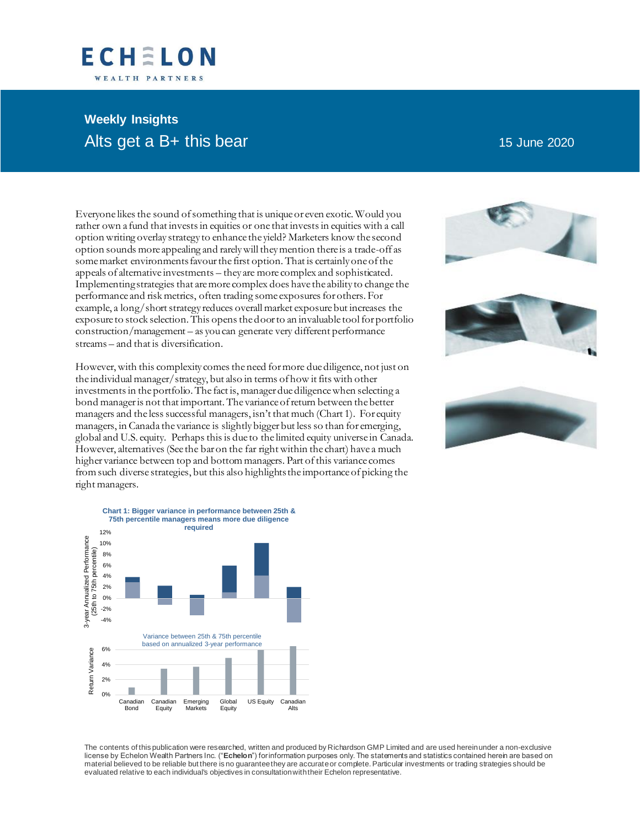## ECHELON WEALTH PARTNERS

# **Weekly Insights** Alts get a B+ this bear 15 June 2020

Everyone likes the sound of something that is unique or even exotic. Would you rather own a fund that invests in equities or one that invests in equities with a call option writing overlay strategy to enhance the yield? Marketers know the second option sounds more appealing and rarely will they mention there is a trade-off as some market environments favour the first option. That is certainly one of the appeals of alternative investments – they are more complex and sophisticated. Implementing strategies that are more complex does have the ability to change the performance and risk metrics, often trading some exposures for others. For example, a long/short strategy reduces overall market exposure but increases the exposure to stock selection. This opens the door to an invaluable tool for portfolio construction/management – as you can generate very different performance streams – and that is diversification.

However, with this complexity comes the need for more due diligence, not just on the individual manager/strategy, but also in terms of how it fits with other investments in the portfolio. The fact is, manager due diligence when selecting a bond manager is not that important. The variance of return between the better managers and the less successful managers, isn't that much (Chart 1). For equity managers, in Canada the variance is slightly bigger but less so than for emerging, global and U.S. equity. Perhaps this is due to the limited equity universe in Canada. However, alternatives (See the bar on the far right within the chart) have a much higher variance between top and bottom managers. Part of this variance comes from such diverse strategies, but this also highlights the importance of picking the right managers.









The contents of this publication were researched, written and produced by Richardson GMP Limited and are used herein under a non-exclusive license by Echelon Wealth Partners Inc. ("**Echelon**") for information purposes only. The statements and statistics contained herein are based on material believed to be reliable but there is no guarantee they are accurate or complete. Particular investments or trading strategies should be evaluated relative to each individual's objectives in consultation with their Echelon representative.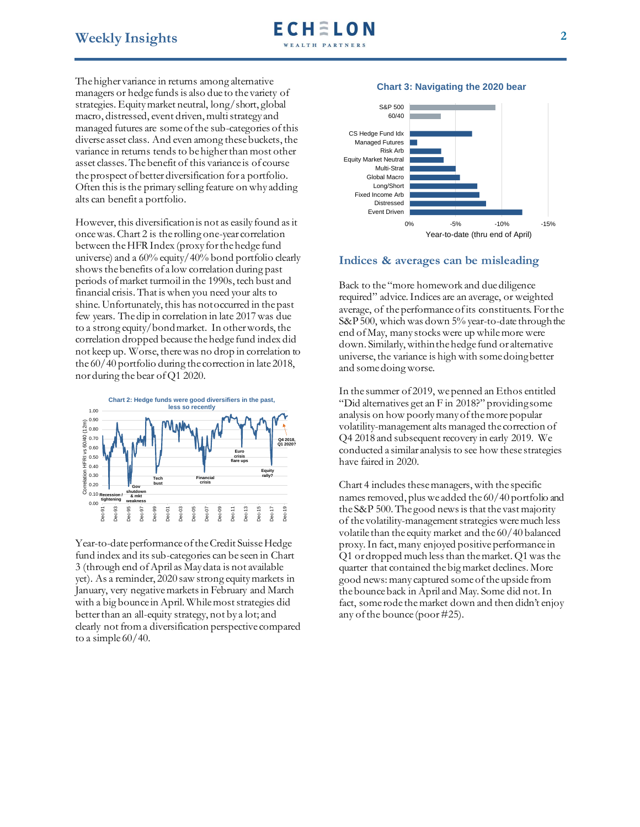The higher variance in returns among alternative managers or hedge funds is also due to the variety of strategies. Equity market neutral, long/short, global macro, distressed, event driven, multi strategy and managed futures are some of the sub-categories of this diverse asset class. And even among these buckets, the variance in returns tends to be higher than most other asset classes. The benefit of this variance is of course the prospect of better diversification for a portfolio. Often this is the primary selling feature on why adding alts can benefit a portfolio.

However, this diversification is not as easily found as it once was. Chart 2 is the rolling one-year correlation between the HFR Index (proxy for the hedge fund universe) and a 60% equity/40% bond portfolio clearly shows the benefits of a low correlation during past periods of market turmoil in the 1990s, tech bust and financial crisis. That is when you need your alts to shine. Unfortunately, this has not occurred in the past few years. The dip in correlation in late 2017 was due to a strong equity/bond market. In other words, the correlation dropped because the hedge fund index did not keep up. Worse, there was no drop in correlation to the 60/40 portfolio during the correction in late 2018, nor during the bear of Q1 2020.



Year-to-date performance of the Credit Suisse Hedge fund index and its sub-categories can be seen in Chart 3 (through end of April as May data is not available yet). As a reminder, 2020 saw strong equity markets in January, very negative markets in February and March with a big bounce in April. While most strategies did better than an all-equity strategy, not by a lot; and clearly not from a diversification perspective compared to a simple  $60/40$ .

### **Chart 3: Navigating the 2020 bear**



### **Indices & averages can be misleading**

Back to the "more homework and due diligence required" advice. Indices are an average, or weighted average, of the performance of its constituents. For the S&P 500, which was down 5% year-to-date through the end of May, many stocks were up while more were down. Similarly, within the hedge fund or alternative universe, the variance is high with some doing better and some doing worse.

In the summer of 2019, we penned an Ethos entitled "Did alternatives get an F in 2018?" providing some analysis on how poorly many of the more popular volatility-management alts managed the correction of Q4 2018 and subsequent recovery in early 2019. We conducted a similar analysis to see how these strategies have faired in 2020.

Chart 4 includes these managers, with the specific names removed, plus we added the 60/40 portfolio and the S&P 500. The good news is that the vast majority of the volatility-management strategies were much less volatile than the equity market and the 60/40 balanced proxy. In fact, many enjoyed positive performance in Q1 or dropped much less than the market. Q1 was the quarter that contained the big market declines. More good news: many captured some of the upside from the bounce back in April and May. Some did not. In fact, some rode themarket down and then didn't enjoy any of the bounce (poor #25).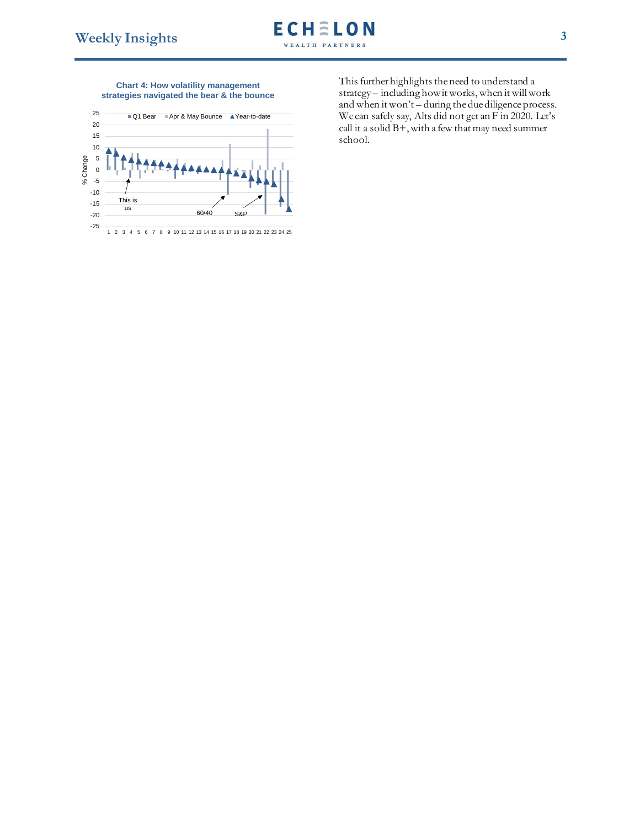#### **Chart 4: How volatility management strategies navigated the bear & the bounce**



This further highlights the need to understand a strategy – including how it works, when it will work and when it won't – during the due diligence process. We can safely say, Alts did not get an F in 2020. Let's call it a solid B+, with a few that may need summer school.